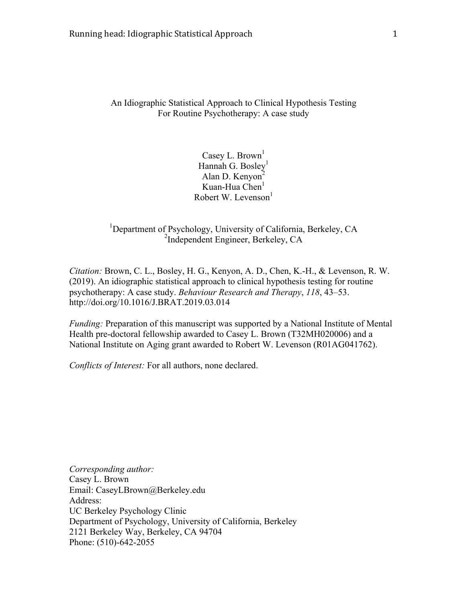An Idiographic Statistical Approach to Clinical Hypothesis Testing For Routine Psychotherapy: A case study

> Casey L. Brown<sup>1</sup> Hannah G. Bosley $<sup>1</sup>$ </sup> Alan D. Kenyon<sup>2</sup> Kuan-Hua Chen $<sup>1</sup>$ </sup> Robert W. Levenson $<sup>1</sup>$ </sup>

<sup>1</sup>Department of Psychology, University of California, Berkeley, CA 2 Independent Engineer, Berkeley, CA

*Citation:* Brown, C. L., Bosley, H. G., Kenyon, A. D., Chen, K.-H., & Levenson, R. W. (2019). An idiographic statistical approach to clinical hypothesis testing for routine psychotherapy: A case study. *Behaviour Research and Therapy*, *118*, 43–53. http://doi.org/10.1016/J.BRAT.2019.03.014

*Funding:* Preparation of this manuscript was supported by a National Institute of Mental Health pre-doctoral fellowship awarded to Casey L. Brown (T32MH020006) and a National Institute on Aging grant awarded to Robert W. Levenson (R01AG041762).

*Conflicts of Interest:* For all authors, none declared.

*Corresponding author:* Casey L. Brown Email: CaseyLBrown@Berkeley.edu Address: UC Berkeley Psychology Clinic Department of Psychology, University of California, Berkeley 2121 Berkeley Way, Berkeley, CA 94704 Phone: (510)-642-2055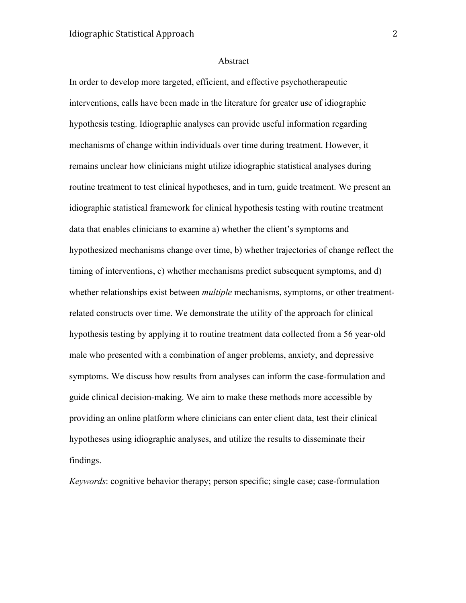#### Abstract

In order to develop more targeted, efficient, and effective psychotherapeutic interventions, calls have been made in the literature for greater use of idiographic hypothesis testing. Idiographic analyses can provide useful information regarding mechanisms of change within individuals over time during treatment. However, it remains unclear how clinicians might utilize idiographic statistical analyses during routine treatment to test clinical hypotheses, and in turn, guide treatment. We present an idiographic statistical framework for clinical hypothesis testing with routine treatment data that enables clinicians to examine a) whether the client's symptoms and hypothesized mechanisms change over time, b) whether trajectories of change reflect the timing of interventions, c) whether mechanisms predict subsequent symptoms, and d) whether relationships exist between *multiple* mechanisms, symptoms, or other treatmentrelated constructs over time. We demonstrate the utility of the approach for clinical hypothesis testing by applying it to routine treatment data collected from a 56 year-old male who presented with a combination of anger problems, anxiety, and depressive symptoms. We discuss how results from analyses can inform the case-formulation and guide clinical decision-making. We aim to make these methods more accessible by providing an online platform where clinicians can enter client data, test their clinical hypotheses using idiographic analyses, and utilize the results to disseminate their findings.

*Keywords*: cognitive behavior therapy; person specific; single case; case-formulation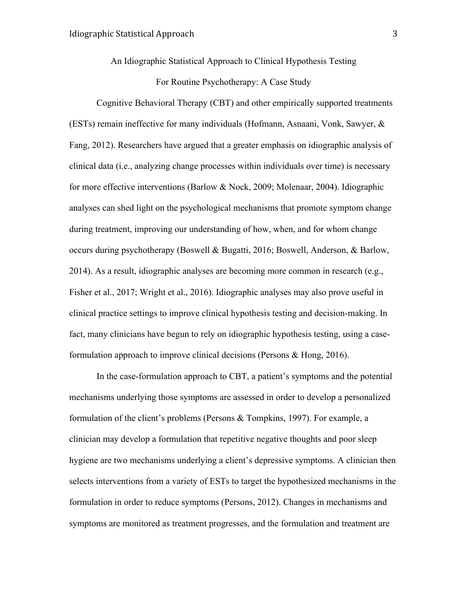An Idiographic Statistical Approach to Clinical Hypothesis Testing For Routine Psychotherapy: A Case Study

Cognitive Behavioral Therapy (CBT) and other empirically supported treatments (ESTs) remain ineffective for many individuals (Hofmann, Asnaani, Vonk, Sawyer, & Fang, 2012). Researchers have argued that a greater emphasis on idiographic analysis of clinical data (i.e., analyzing change processes within individuals over time) is necessary for more effective interventions (Barlow & Nock, 2009; Molenaar, 2004). Idiographic analyses can shed light on the psychological mechanisms that promote symptom change during treatment, improving our understanding of how, when, and for whom change occurs during psychotherapy (Boswell & Bugatti, 2016; Boswell, Anderson, & Barlow, 2014). As a result, idiographic analyses are becoming more common in research (e.g., Fisher et al., 2017; Wright et al., 2016). Idiographic analyses may also prove useful in clinical practice settings to improve clinical hypothesis testing and decision-making. In fact, many clinicians have begun to rely on idiographic hypothesis testing, using a caseformulation approach to improve clinical decisions (Persons & Hong, 2016).

In the case-formulation approach to CBT, a patient's symptoms and the potential mechanisms underlying those symptoms are assessed in order to develop a personalized formulation of the client's problems (Persons & Tompkins, 1997). For example, a clinician may develop a formulation that repetitive negative thoughts and poor sleep hygiene are two mechanisms underlying a client's depressive symptoms. A clinician then selects interventions from a variety of ESTs to target the hypothesized mechanisms in the formulation in order to reduce symptoms (Persons, 2012). Changes in mechanisms and symptoms are monitored as treatment progresses, and the formulation and treatment are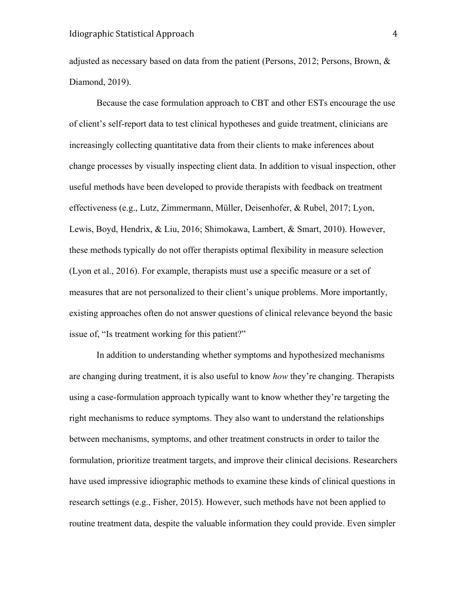adjusted as necessary based on data from the patient (Persons, 2012; Persons, Brown, & Diamond, 2019).

Because the case formulation approach to CBT and other ESTs encourage the use of client's self-report data to test clinical hypotheses and guide treatment, clinicians are increasingly collecting quantitative data from their clients to make inferences about change processes by visually inspecting client data. In addition to visual inspection, other useful methods have been developed to provide therapists with feedback on treatment effectiveness (e.g., Lutz, Zimmermann, Müller, Deisenhofer, & Rubel, 2017; Lyon, Lewis, Boyd, Hendrix, & Liu, 2016; Shimokawa, Lambert, & Smart, 2010). However, these methods typically do not offer therapists optimal flexibility in measure selection (Lyon et al., 2016). For example, therapists must use a specific measure or a set of measures that are not personalized to their client's unique problems. More importantly, existing approaches often do not answer questions of clinical relevance beyond the basic issue of, "Is treatment working for this patient?"

In addition to understanding whether symptoms and hypothesized mechanisms are changing during treatment, it is also useful to know *how* they're changing. Therapists using a case-formulation approach typically want to know whether they're targeting the right mechanisms to reduce symptoms. They also want to understand the relationships between mechanisms, symptoms, and other treatment constructs in order to tailor the formulation, prioritize treatment targets, and improve their clinical decisions. Researchers have used impressive idiographic methods to examine these kinds of clinical questions in research settings (e.g., Fisher, 2015). However, such methods have not been applied to routine treatment data, despite the valuable information they could provide. Even simpler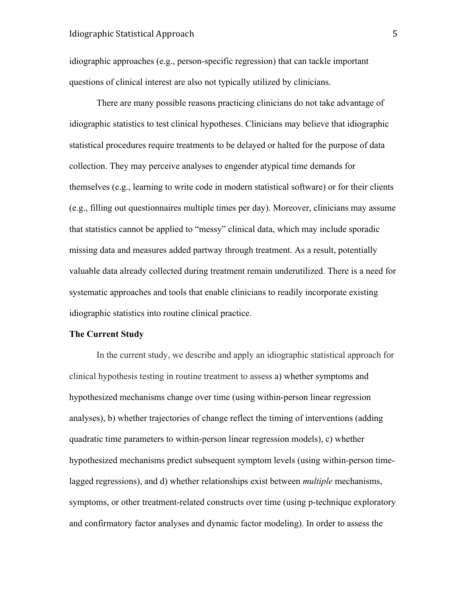idiographic approaches (e.g., person-specific regression) that can tackle important questions of clinical interest are also not typically utilized by clinicians.

There are many possible reasons practicing clinicians do not take advantage of idiographic statistics to test clinical hypotheses. Clinicians may believe that idiographic statistical procedures require treatments to be delayed or halted for the purpose of data collection. They may perceive analyses to engender atypical time demands for themselves (e.g., learning to write code in modern statistical software) or for their clients (e.g., filling out questionnaires multiple times per day). Moreover, clinicians may assume that statistics cannot be applied to "messy" clinical data, which may include sporadic missing data and measures added partway through treatment. As a result, potentially valuable data already collected during treatment remain underutilized. There is a need for systematic approaches and tools that enable clinicians to readily incorporate existing idiographic statistics into routine clinical practice.

#### **The Current Study**

In the current study, we describe and apply an idiographic statistical approach for clinical hypothesis testing in routine treatment to assess a) whether symptoms and hypothesized mechanisms change over time (using within-person linear regression analyses), b) whether trajectories of change reflect the timing of interventions (adding quadratic time parameters to within-person linear regression models), c) whether hypothesized mechanisms predict subsequent symptom levels (using within-person timelagged regressions), and d) whether relationships exist between *multiple* mechanisms, symptoms, or other treatment-related constructs over time (using p-technique exploratory and confirmatory factor analyses and dynamic factor modeling). In order to assess the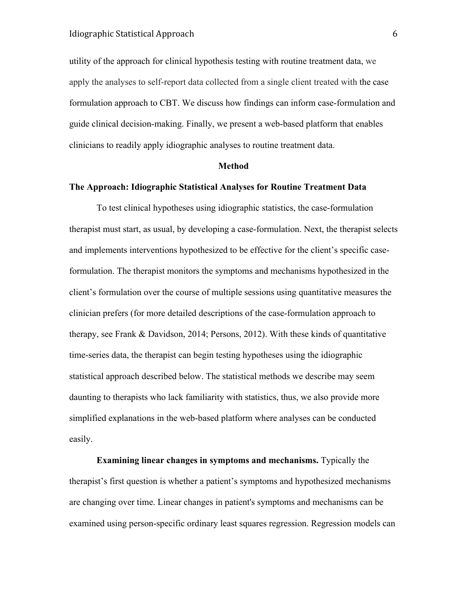utility of the approach for clinical hypothesis testing with routine treatment data, we apply the analyses to self-report data collected from a single client treated with the case formulation approach to CBT. We discuss how findings can inform case-formulation and guide clinical decision-making. Finally, we present a web-based platform that enables clinicians to readily apply idiographic analyses to routine treatment data.

#### **Method**

## **The Approach: Idiographic Statistical Analyses for Routine Treatment Data**

To test clinical hypotheses using idiographic statistics, the case-formulation therapist must start, as usual, by developing a case-formulation. Next, the therapist selects and implements interventions hypothesized to be effective for the client's specific caseformulation. The therapist monitors the symptoms and mechanisms hypothesized in the client's formulation over the course of multiple sessions using quantitative measures the clinician prefers (for more detailed descriptions of the case-formulation approach to therapy, see Frank & Davidson, 2014; Persons, 2012). With these kinds of quantitative time-series data, the therapist can begin testing hypotheses using the idiographic statistical approach described below. The statistical methods we describe may seem daunting to therapists who lack familiarity with statistics, thus, we also provide more simplified explanations in the web-based platform where analyses can be conducted easily.

**Examining linear changes in symptoms and mechanisms.** Typically the therapist's first question is whether a patient's symptoms and hypothesized mechanisms are changing over time. Linear changes in patient's symptoms and mechanisms can be examined using person-specific ordinary least squares regression. Regression models can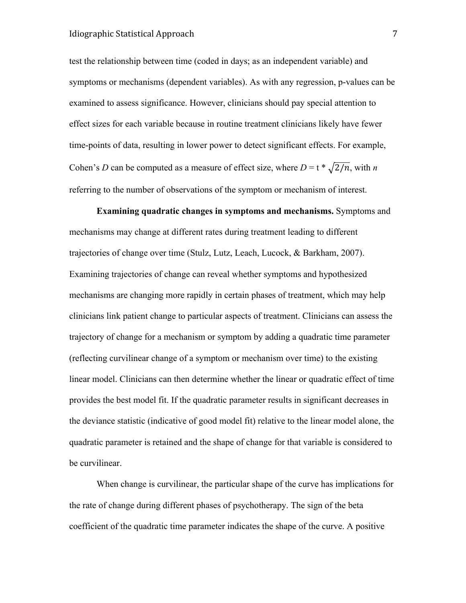test the relationship between time (coded in days; as an independent variable) and symptoms or mechanisms (dependent variables). As with any regression, p-values can be examined to assess significance. However, clinicians should pay special attention to effect sizes for each variable because in routine treatment clinicians likely have fewer time-points of data, resulting in lower power to detect significant effects. For example, Cohen's *D* can be computed as a measure of effect size, where  $D = t * \sqrt{2/n}$ , with *n* referring to the number of observations of the symptom or mechanism of interest.

**Examining quadratic changes in symptoms and mechanisms.** Symptoms and mechanisms may change at different rates during treatment leading to different trajectories of change over time (Stulz, Lutz, Leach, Lucock, & Barkham, 2007). Examining trajectories of change can reveal whether symptoms and hypothesized mechanisms are changing more rapidly in certain phases of treatment, which may help clinicians link patient change to particular aspects of treatment. Clinicians can assess the trajectory of change for a mechanism or symptom by adding a quadratic time parameter (reflecting curvilinear change of a symptom or mechanism over time) to the existing linear model. Clinicians can then determine whether the linear or quadratic effect of time provides the best model fit. If the quadratic parameter results in significant decreases in the deviance statistic (indicative of good model fit) relative to the linear model alone, the quadratic parameter is retained and the shape of change for that variable is considered to be curvilinear.

When change is curvilinear, the particular shape of the curve has implications for the rate of change during different phases of psychotherapy. The sign of the beta coefficient of the quadratic time parameter indicates the shape of the curve. A positive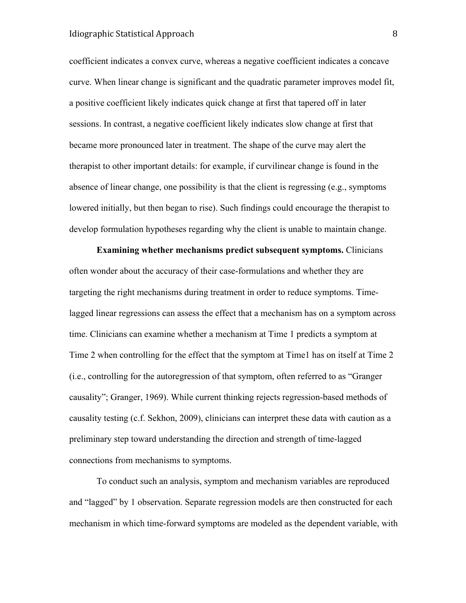# Idiographic Statistical Approach 8

coefficient indicates a convex curve, whereas a negative coefficient indicates a concave curve. When linear change is significant and the quadratic parameter improves model fit, a positive coefficient likely indicates quick change at first that tapered off in later sessions. In contrast, a negative coefficient likely indicates slow change at first that became more pronounced later in treatment. The shape of the curve may alert the therapist to other important details: for example, if curvilinear change is found in the absence of linear change, one possibility is that the client is regressing (e.g., symptoms lowered initially, but then began to rise). Such findings could encourage the therapist to develop formulation hypotheses regarding why the client is unable to maintain change.

**Examining whether mechanisms predict subsequent symptoms.** Clinicians often wonder about the accuracy of their case-formulations and whether they are targeting the right mechanisms during treatment in order to reduce symptoms. Timelagged linear regressions can assess the effect that a mechanism has on a symptom across time. Clinicians can examine whether a mechanism at Time 1 predicts a symptom at Time 2 when controlling for the effect that the symptom at Time1 has on itself at Time 2 (i.e., controlling for the autoregression of that symptom, often referred to as "Granger causality"; Granger, 1969). While current thinking rejects regression-based methods of causality testing (c.f. Sekhon, 2009), clinicians can interpret these data with caution as a preliminary step toward understanding the direction and strength of time-lagged connections from mechanisms to symptoms.

To conduct such an analysis, symptom and mechanism variables are reproduced and "lagged" by 1 observation. Separate regression models are then constructed for each mechanism in which time-forward symptoms are modeled as the dependent variable, with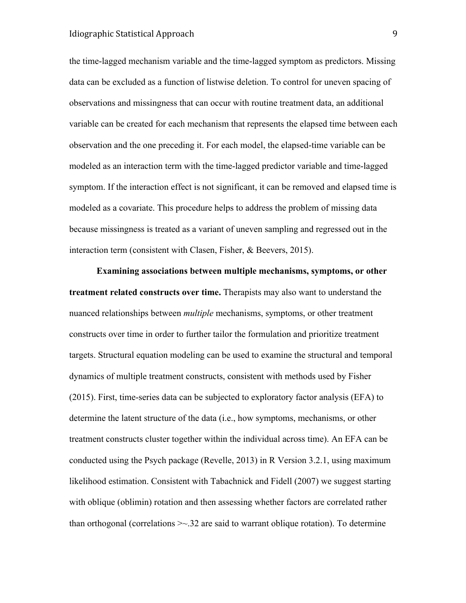# Idiographic Statistical Approach 9

the time-lagged mechanism variable and the time-lagged symptom as predictors. Missing data can be excluded as a function of listwise deletion. To control for uneven spacing of observations and missingness that can occur with routine treatment data, an additional variable can be created for each mechanism that represents the elapsed time between each observation and the one preceding it. For each model, the elapsed-time variable can be modeled as an interaction term with the time-lagged predictor variable and time-lagged symptom. If the interaction effect is not significant, it can be removed and elapsed time is modeled as a covariate. This procedure helps to address the problem of missing data because missingness is treated as a variant of uneven sampling and regressed out in the interaction term (consistent with Clasen, Fisher, & Beevers, 2015).

**Examining associations between multiple mechanisms, symptoms, or other treatment related constructs over time.** Therapists may also want to understand the nuanced relationships between *multiple* mechanisms, symptoms, or other treatment constructs over time in order to further tailor the formulation and prioritize treatment targets. Structural equation modeling can be used to examine the structural and temporal dynamics of multiple treatment constructs, consistent with methods used by Fisher (2015). First, time-series data can be subjected to exploratory factor analysis (EFA) to determine the latent structure of the data (i.e., how symptoms, mechanisms, or other treatment constructs cluster together within the individual across time). An EFA can be conducted using the Psych package (Revelle, 2013) in R Version 3.2.1, using maximum likelihood estimation. Consistent with Tabachnick and Fidell (2007) we suggest starting with oblique (oblimin) rotation and then assessing whether factors are correlated rather than orthogonal (correlations  $\geq 32$  are said to warrant oblique rotation). To determine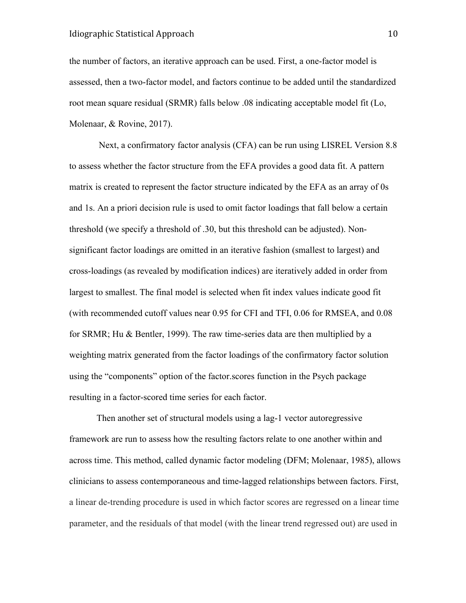the number of factors, an iterative approach can be used. First, a one-factor model is assessed, then a two-factor model, and factors continue to be added until the standardized root mean square residual (SRMR) falls below .08 indicating acceptable model fit (Lo, Molenaar, & Rovine, 2017).

Next, a confirmatory factor analysis (CFA) can be run using LISREL Version 8.8 to assess whether the factor structure from the EFA provides a good data fit. A pattern matrix is created to represent the factor structure indicated by the EFA as an array of 0s and 1s. An a priori decision rule is used to omit factor loadings that fall below a certain threshold (we specify a threshold of .30, but this threshold can be adjusted). Nonsignificant factor loadings are omitted in an iterative fashion (smallest to largest) and cross-loadings (as revealed by modification indices) are iteratively added in order from largest to smallest. The final model is selected when fit index values indicate good fit (with recommended cutoff values near 0.95 for CFI and TFI, 0.06 for RMSEA, and 0.08 for SRMR; Hu & Bentler, 1999). The raw time-series data are then multiplied by a weighting matrix generated from the factor loadings of the confirmatory factor solution using the "components" option of the factor.scores function in the Psych package resulting in a factor-scored time series for each factor.

Then another set of structural models using a lag-1 vector autoregressive framework are run to assess how the resulting factors relate to one another within and across time. This method, called dynamic factor modeling (DFM; Molenaar, 1985), allows clinicians to assess contemporaneous and time-lagged relationships between factors. First, a linear de-trending procedure is used in which factor scores are regressed on a linear time parameter, and the residuals of that model (with the linear trend regressed out) are used in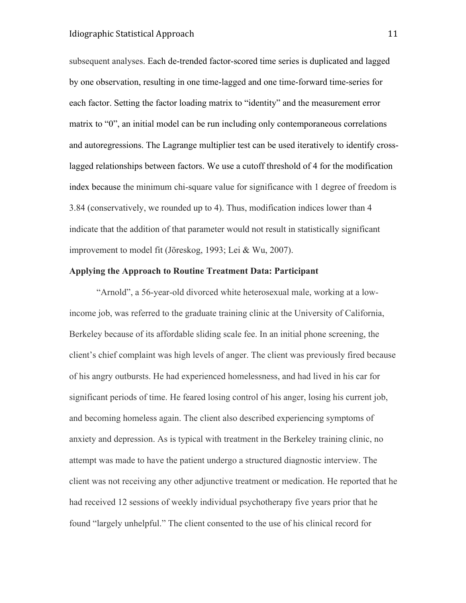# Idiographic Statistical Approach 11

subsequent analyses. Each de-trended factor-scored time series is duplicated and lagged by one observation, resulting in one time-lagged and one time-forward time-series for each factor. Setting the factor loading matrix to "identity" and the measurement error matrix to "0", an initial model can be run including only contemporaneous correlations and autoregressions. The Lagrange multiplier test can be used iteratively to identify crosslagged relationships between factors. We use a cutoff threshold of 4 for the modification index because the minimum chi-square value for significance with 1 degree of freedom is 3.84 (conservatively, we rounded up to 4). Thus, modification indices lower than 4 indicate that the addition of that parameter would not result in statistically significant improvement to model fit (Jöreskog, 1993; Lei & Wu, 2007).

## **Applying the Approach to Routine Treatment Data: Participant**

"Arnold", a 56-year-old divorced white heterosexual male, working at a lowincome job, was referred to the graduate training clinic at the University of California, Berkeley because of its affordable sliding scale fee. In an initial phone screening, the client's chief complaint was high levels of anger. The client was previously fired because of his angry outbursts. He had experienced homelessness, and had lived in his car for significant periods of time. He feared losing control of his anger, losing his current job, and becoming homeless again. The client also described experiencing symptoms of anxiety and depression. As is typical with treatment in the Berkeley training clinic, no attempt was made to have the patient undergo a structured diagnostic interview. The client was not receiving any other adjunctive treatment or medication. He reported that he had received 12 sessions of weekly individual psychotherapy five years prior that he found "largely unhelpful." The client consented to the use of his clinical record for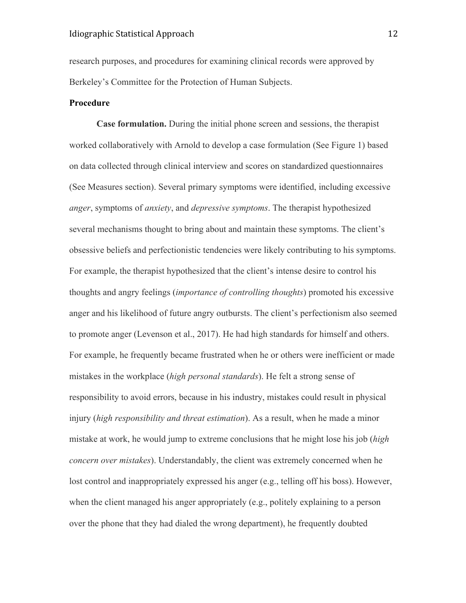research purposes, and procedures for examining clinical records were approved by Berkeley's Committee for the Protection of Human Subjects.

# **Procedure**

**Case formulation.** During the initial phone screen and sessions, the therapist worked collaboratively with Arnold to develop a case formulation (See Figure 1) based on data collected through clinical interview and scores on standardized questionnaires (See Measures section). Several primary symptoms were identified, including excessive *anger*, symptoms of *anxiety*, and *depressive symptoms*. The therapist hypothesized several mechanisms thought to bring about and maintain these symptoms. The client's obsessive beliefs and perfectionistic tendencies were likely contributing to his symptoms. For example, the therapist hypothesized that the client's intense desire to control his thoughts and angry feelings (*importance of controlling thoughts*) promoted his excessive anger and his likelihood of future angry outbursts. The client's perfectionism also seemed to promote anger (Levenson et al., 2017). He had high standards for himself and others. For example, he frequently became frustrated when he or others were inefficient or made mistakes in the workplace (*high personal standards*). He felt a strong sense of responsibility to avoid errors, because in his industry, mistakes could result in physical injury *(high responsibility and threat estimation)*. As a result, when he made a minor mistake at work, he would jump to extreme conclusions that he might lose his job (*high concern over mistakes*). Understandably, the client was extremely concerned when he lost control and inappropriately expressed his anger (e.g., telling off his boss). However, when the client managed his anger appropriately (e.g., politely explaining to a person over the phone that they had dialed the wrong department), he frequently doubted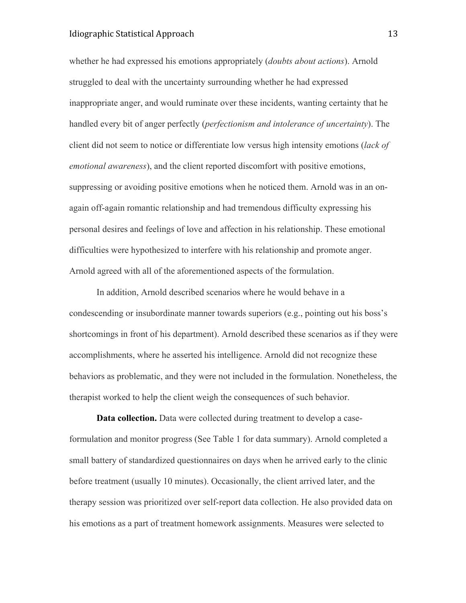# Idiographic Statistical Approach 13

whether he had expressed his emotions appropriately (*doubts about actions*). Arnold struggled to deal with the uncertainty surrounding whether he had expressed inappropriate anger, and would ruminate over these incidents, wanting certainty that he handled every bit of anger perfectly (*perfectionism and intolerance of uncertainty*). The client did not seem to notice or differentiate low versus high intensity emotions (*lack of emotional awareness*), and the client reported discomfort with positive emotions, suppressing or avoiding positive emotions when he noticed them. Arnold was in an onagain off-again romantic relationship and had tremendous difficulty expressing his personal desires and feelings of love and affection in his relationship. These emotional difficulties were hypothesized to interfere with his relationship and promote anger. Arnold agreed with all of the aforementioned aspects of the formulation.

In addition, Arnold described scenarios where he would behave in a condescending or insubordinate manner towards superiors (e.g., pointing out his boss's shortcomings in front of his department). Arnold described these scenarios as if they were accomplishments, where he asserted his intelligence. Arnold did not recognize these behaviors as problematic, and they were not included in the formulation. Nonetheless, the therapist worked to help the client weigh the consequences of such behavior.

**Data collection.** Data were collected during treatment to develop a caseformulation and monitor progress (See Table 1 for data summary). Arnold completed a small battery of standardized questionnaires on days when he arrived early to the clinic before treatment (usually 10 minutes). Occasionally, the client arrived later, and the therapy session was prioritized over self-report data collection. He also provided data on his emotions as a part of treatment homework assignments. Measures were selected to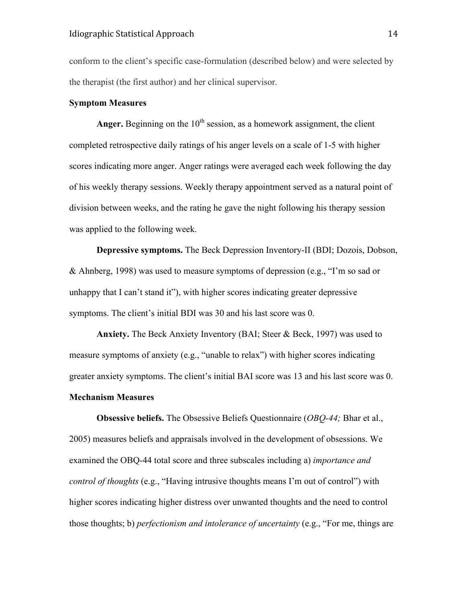conform to the client's specific case-formulation (described below) and were selected by the therapist (the first author) and her clinical supervisor.

# **Symptom Measures**

**Anger.** Beginning on the  $10<sup>th</sup>$  session, as a homework assignment, the client completed retrospective daily ratings of his anger levels on a scale of 1-5 with higher scores indicating more anger. Anger ratings were averaged each week following the day of his weekly therapy sessions. Weekly therapy appointment served as a natural point of division between weeks, and the rating he gave the night following his therapy session was applied to the following week.

**Depressive symptoms.** The Beck Depression Inventory-II (BDI; Dozois, Dobson, & Ahnberg, 1998) was used to measure symptoms of depression (e.g., "I'm so sad or unhappy that I can't stand it"), with higher scores indicating greater depressive symptoms. The client's initial BDI was 30 and his last score was 0.

**Anxiety.** The Beck Anxiety Inventory (BAI; Steer & Beck, 1997) was used to measure symptoms of anxiety (e.g., "unable to relax") with higher scores indicating greater anxiety symptoms. The client's initial BAI score was 13 and his last score was 0.

# **Mechanism Measures**

**Obsessive beliefs.** The Obsessive Beliefs Questionnaire (*OBQ-44;* Bhar et al., 2005) measures beliefs and appraisals involved in the development of obsessions. We examined the OBQ-44 total score and three subscales including a) *importance and control of thoughts* (e.g., "Having intrusive thoughts means I'm out of control") with higher scores indicating higher distress over unwanted thoughts and the need to control those thoughts; b) *perfectionism and intolerance of uncertainty* (e.g., "For me, things are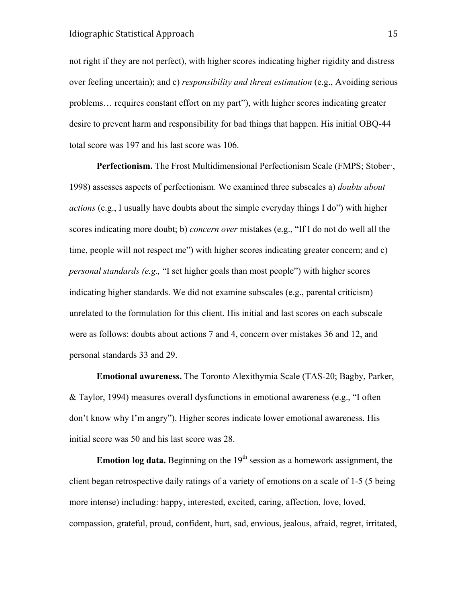not right if they are not perfect), with higher scores indicating higher rigidity and distress over feeling uncertain); and c) *responsibility and threat estimation* (e.g., Avoiding serious problems… requires constant effort on my part"), with higher scores indicating greater desire to prevent harm and responsibility for bad things that happen. His initial OBQ-44 total score was 197 and his last score was 106.

**Perfectionism.** The Frost Multidimensional Perfectionism Scale (FMPS; Stober·, 1998) assesses aspects of perfectionism. We examined three subscales a) *doubts about actions* (e.g., I usually have doubts about the simple everyday things I do") with higher scores indicating more doubt; b) *concern over* mistakes (e.g., "If I do not do well all the time, people will not respect me") with higher scores indicating greater concern; and c) *personal standards (e.g.,* "I set higher goals than most people") with higher scores indicating higher standards. We did not examine subscales (e.g., parental criticism) unrelated to the formulation for this client. His initial and last scores on each subscale were as follows: doubts about actions 7 and 4, concern over mistakes 36 and 12, and personal standards 33 and 29.

**Emotional awareness.** The Toronto Alexithymia Scale (TAS-20; Bagby, Parker, & Taylor, 1994) measures overall dysfunctions in emotional awareness (e.g., "I often don't know why I'm angry"). Higher scores indicate lower emotional awareness. His initial score was 50 and his last score was 28.

**Emotion log data.** Beginning on the 19<sup>th</sup> session as a homework assignment, the client began retrospective daily ratings of a variety of emotions on a scale of 1-5 (5 being more intense) including: happy, interested, excited, caring, affection, love, loved, compassion, grateful, proud, confident, hurt, sad, envious, jealous, afraid, regret, irritated,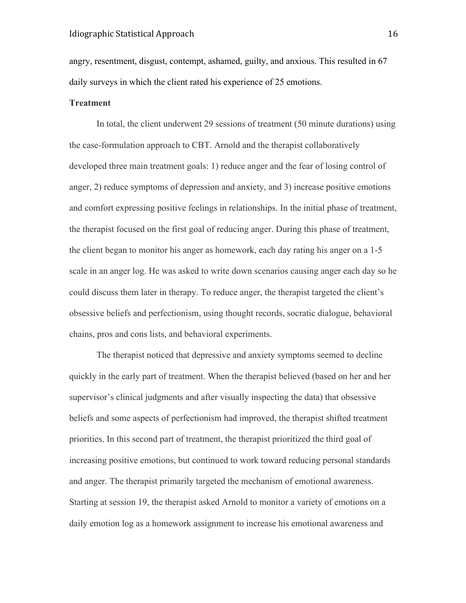angry, resentment, disgust, contempt, ashamed, guilty, and anxious. This resulted in 67 daily surveys in which the client rated his experience of 25 emotions.

## **Treatment**

In total, the client underwent 29 sessions of treatment (50 minute durations) using the case-formulation approach to CBT. Arnold and the therapist collaboratively developed three main treatment goals: 1) reduce anger and the fear of losing control of anger, 2) reduce symptoms of depression and anxiety, and 3) increase positive emotions and comfort expressing positive feelings in relationships. In the initial phase of treatment, the therapist focused on the first goal of reducing anger. During this phase of treatment, the client began to monitor his anger as homework, each day rating his anger on a 1-5 scale in an anger log. He was asked to write down scenarios causing anger each day so he could discuss them later in therapy. To reduce anger, the therapist targeted the client's obsessive beliefs and perfectionism, using thought records, socratic dialogue, behavioral chains, pros and cons lists, and behavioral experiments.

The therapist noticed that depressive and anxiety symptoms seemed to decline quickly in the early part of treatment. When the therapist believed (based on her and her supervisor's clinical judgments and after visually inspecting the data) that obsessive beliefs and some aspects of perfectionism had improved, the therapist shifted treatment priorities. In this second part of treatment, the therapist prioritized the third goal of increasing positive emotions, but continued to work toward reducing personal standards and anger. The therapist primarily targeted the mechanism of emotional awareness. Starting at session 19, the therapist asked Arnold to monitor a variety of emotions on a daily emotion log as a homework assignment to increase his emotional awareness and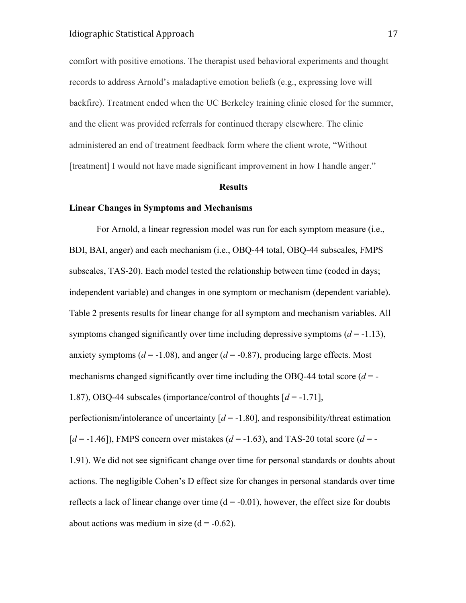comfort with positive emotions. The therapist used behavioral experiments and thought records to address Arnold's maladaptive emotion beliefs (e.g., expressing love will backfire). Treatment ended when the UC Berkeley training clinic closed for the summer, and the client was provided referrals for continued therapy elsewhere. The clinic administered an end of treatment feedback form where the client wrote, "Without [treatment] I would not have made significant improvement in how I handle anger."

#### **Results**

## **Linear Changes in Symptoms and Mechanisms**

For Arnold, a linear regression model was run for each symptom measure (i.e., BDI, BAI, anger) and each mechanism (i.e., OBQ-44 total, OBQ-44 subscales, FMPS subscales, TAS-20). Each model tested the relationship between time (coded in days; independent variable) and changes in one symptom or mechanism (dependent variable). Table 2 presents results for linear change for all symptom and mechanism variables. All symptoms changed significantly over time including depressive symptoms  $(d = -1.13)$ , anxiety symptoms ( $d = -1.08$ ), and anger ( $d = -0.87$ ), producing large effects. Most mechanisms changed significantly over time including the OBQ-44 total score  $(d = -1)$ 1.87), OBQ-44 subscales (importance/control of thoughts [*d* = -1.71], perfectionism/intolerance of uncertainty  $[d = -1.80]$ , and responsibility/threat estimation  $[d = -1.46]$ ), FMPS concern over mistakes ( $d = -1.63$ ), and TAS-20 total score ( $d = -1.63$ ) 1.91). We did not see significant change over time for personal standards or doubts about actions. The negligible Cohen's D effect size for changes in personal standards over time reflects a lack of linear change over time  $(d = -0.01)$ , however, the effect size for doubts about actions was medium in size  $(d = -0.62)$ .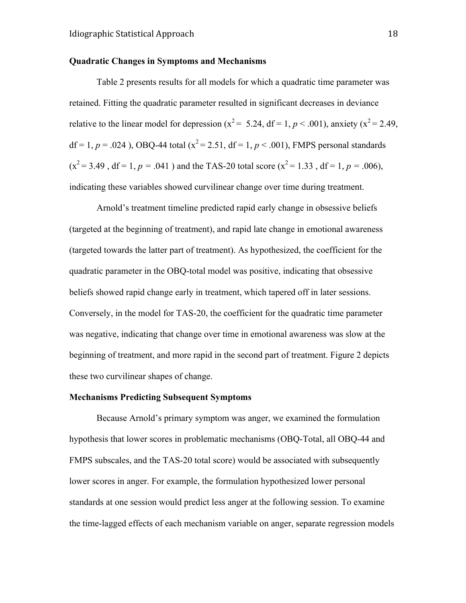## **Quadratic Changes in Symptoms and Mechanisms**

Table 2 presents results for all models for which a quadratic time parameter was retained. Fitting the quadratic parameter resulted in significant decreases in deviance relative to the linear model for depression ( $x^2 = 5.24$ , df = 1,  $p < .001$ ), anxiety ( $x^2 = 2.49$ , df = 1,  $p = .024$ ), OBQ-44 total ( $x^2 = 2.51$ , df = 1,  $p < .001$ ), FMPS personal standards  $(x^2 = 3.49$ , df = 1,  $p = .041$ ) and the TAS-20 total score  $(x^2 = 1.33$ , df = 1,  $p = .006$ ), indicating these variables showed curvilinear change over time during treatment.

Arnold's treatment timeline predicted rapid early change in obsessive beliefs (targeted at the beginning of treatment), and rapid late change in emotional awareness (targeted towards the latter part of treatment). As hypothesized, the coefficient for the quadratic parameter in the OBQ-total model was positive, indicating that obsessive beliefs showed rapid change early in treatment, which tapered off in later sessions. Conversely, in the model for TAS-20, the coefficient for the quadratic time parameter was negative, indicating that change over time in emotional awareness was slow at the beginning of treatment, and more rapid in the second part of treatment. Figure 2 depicts these two curvilinear shapes of change.

# **Mechanisms Predicting Subsequent Symptoms**

Because Arnold's primary symptom was anger, we examined the formulation hypothesis that lower scores in problematic mechanisms (OBQ-Total, all OBQ-44 and FMPS subscales, and the TAS-20 total score) would be associated with subsequently lower scores in anger. For example, the formulation hypothesized lower personal standards at one session would predict less anger at the following session. To examine the time-lagged effects of each mechanism variable on anger, separate regression models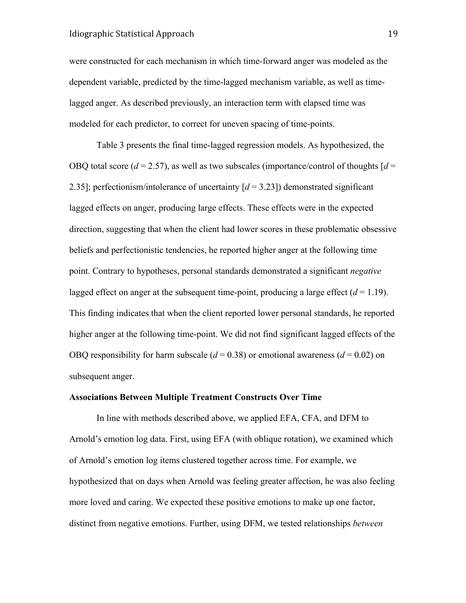were constructed for each mechanism in which time-forward anger was modeled as the dependent variable, predicted by the time-lagged mechanism variable, as well as timelagged anger. As described previously, an interaction term with elapsed time was modeled for each predictor, to correct for uneven spacing of time-points.

Table 3 presents the final time-lagged regression models. As hypothesized, the OBQ total score ( $d = 2.57$ ), as well as two subscales (importance/control of thoughts  $d =$ 2.35]; perfectionism/intolerance of uncertainty [*d* = 3.23]) demonstrated significant lagged effects on anger, producing large effects. These effects were in the expected direction, suggesting that when the client had lower scores in these problematic obsessive beliefs and perfectionistic tendencies, he reported higher anger at the following time point. Contrary to hypotheses, personal standards demonstrated a significant *negative* lagged effect on anger at the subsequent time-point, producing a large effect  $(d = 1.19)$ . This finding indicates that when the client reported lower personal standards, he reported higher anger at the following time-point. We did not find significant lagged effects of the OBQ responsibility for harm subscale  $(d = 0.38)$  or emotional awareness  $(d = 0.02)$  on subsequent anger.

# **Associations Between Multiple Treatment Constructs Over Time**

In line with methods described above, we applied EFA, CFA, and DFM to Arnold's emotion log data. First, using EFA (with oblique rotation), we examined which of Arnold's emotion log items clustered together across time. For example, we hypothesized that on days when Arnold was feeling greater affection, he was also feeling more loved and caring. We expected these positive emotions to make up one factor, distinct from negative emotions. Further, using DFM, we tested relationships *between*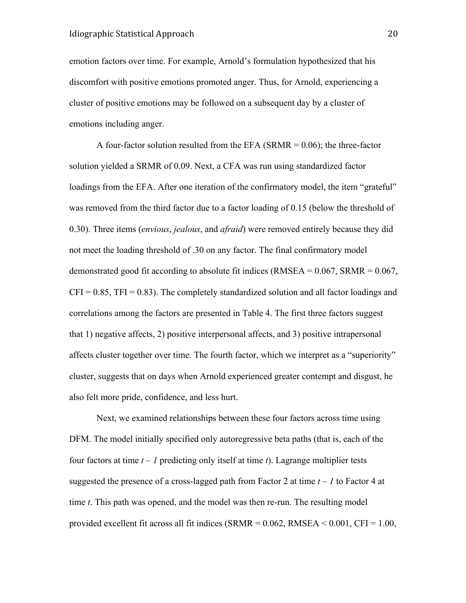emotion factors over time. For example, Arnold's formulation hypothesized that his discomfort with positive emotions promoted anger. Thus, for Arnold, experiencing a cluster of positive emotions may be followed on a subsequent day by a cluster of emotions including anger.

A four-factor solution resulted from the EFA (SRMR =  $0.06$ ); the three-factor solution yielded a SRMR of 0.09. Next, a CFA was run using standardized factor loadings from the EFA. After one iteration of the confirmatory model, the item "grateful" was removed from the third factor due to a factor loading of 0.15 (below the threshold of 0.30). Three items (*envious*, *jealous*, and *afraid*) were removed entirely because they did not meet the loading threshold of .30 on any factor. The final confirmatory model demonstrated good fit according to absolute fit indices (RMSEA =  $0.067$ , SRMR =  $0.067$ ,  $CFI = 0.85$ ,  $TFI = 0.83$ ). The completely standardized solution and all factor loadings and correlations among the factors are presented in Table 4. The first three factors suggest that 1) negative affects, 2) positive interpersonal affects, and 3) positive intrapersonal affects cluster together over time. The fourth factor, which we interpret as a "superiority" cluster, suggests that on days when Arnold experienced greater contempt and disgust, he also felt more pride, confidence, and less hurt.

Next, we examined relationships between these four factors across time using DFM. The model initially specified only autoregressive beta paths (that is, each of the four factors at time  $t - 1$  predicting only itself at time  $t$ ). Lagrange multiplier tests suggested the presence of a cross-lagged path from Factor 2 at time *t – 1* to Factor 4 at time *t*. This path was opened, and the model was then re-run. The resulting model provided excellent fit across all fit indices (SRMR =  $0.062$ , RMSEA <  $0.001$ , CFI =  $1.00$ ,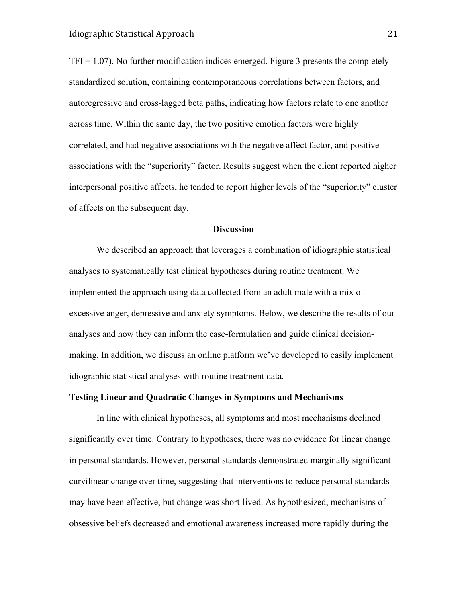$TFI = 1.07$ ). No further modification indices emerged. Figure 3 presents the completely standardized solution, containing contemporaneous correlations between factors, and autoregressive and cross-lagged beta paths, indicating how factors relate to one another across time. Within the same day, the two positive emotion factors were highly correlated, and had negative associations with the negative affect factor, and positive associations with the "superiority" factor. Results suggest when the client reported higher interpersonal positive affects, he tended to report higher levels of the "superiority" cluster of affects on the subsequent day.

## **Discussion**

We described an approach that leverages a combination of idiographic statistical analyses to systematically test clinical hypotheses during routine treatment. We implemented the approach using data collected from an adult male with a mix of excessive anger, depressive and anxiety symptoms. Below, we describe the results of our analyses and how they can inform the case-formulation and guide clinical decisionmaking. In addition, we discuss an online platform we've developed to easily implement idiographic statistical analyses with routine treatment data.

# **Testing Linear and Quadratic Changes in Symptoms and Mechanisms**

In line with clinical hypotheses, all symptoms and most mechanisms declined significantly over time. Contrary to hypotheses, there was no evidence for linear change in personal standards. However, personal standards demonstrated marginally significant curvilinear change over time, suggesting that interventions to reduce personal standards may have been effective, but change was short-lived. As hypothesized, mechanisms of obsessive beliefs decreased and emotional awareness increased more rapidly during the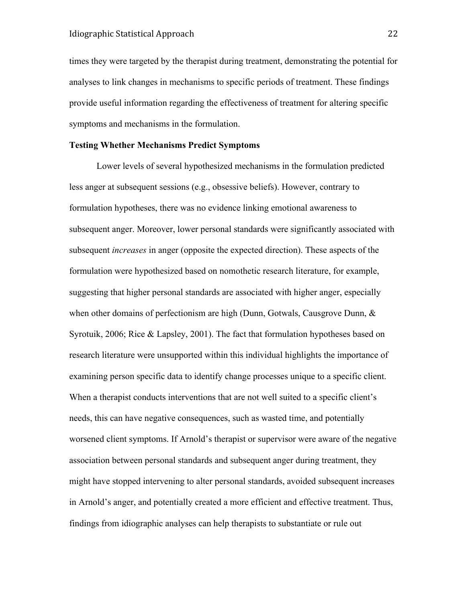times they were targeted by the therapist during treatment, demonstrating the potential for analyses to link changes in mechanisms to specific periods of treatment. These findings provide useful information regarding the effectiveness of treatment for altering specific symptoms and mechanisms in the formulation.

## **Testing Whether Mechanisms Predict Symptoms**

Lower levels of several hypothesized mechanisms in the formulation predicted less anger at subsequent sessions (e.g., obsessive beliefs). However, contrary to formulation hypotheses, there was no evidence linking emotional awareness to subsequent anger. Moreover, lower personal standards were significantly associated with subsequent *increases* in anger (opposite the expected direction). These aspects of the formulation were hypothesized based on nomothetic research literature, for example, suggesting that higher personal standards are associated with higher anger, especially when other domains of perfectionism are high (Dunn, Gotwals, Causgrove Dunn, & Syrotuik, 2006; Rice & Lapsley, 2001). The fact that formulation hypotheses based on research literature were unsupported within this individual highlights the importance of examining person specific data to identify change processes unique to a specific client. When a therapist conducts interventions that are not well suited to a specific client's needs, this can have negative consequences, such as wasted time, and potentially worsened client symptoms. If Arnold's therapist or supervisor were aware of the negative association between personal standards and subsequent anger during treatment, they might have stopped intervening to alter personal standards, avoided subsequent increases in Arnold's anger, and potentially created a more efficient and effective treatment. Thus, findings from idiographic analyses can help therapists to substantiate or rule out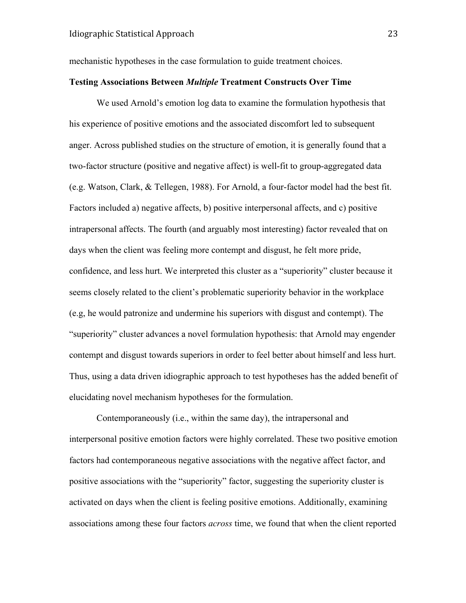mechanistic hypotheses in the case formulation to guide treatment choices.

# **Testing Associations Between** *Multiple* **Treatment Constructs Over Time**

We used Arnold's emotion log data to examine the formulation hypothesis that his experience of positive emotions and the associated discomfort led to subsequent anger. Across published studies on the structure of emotion, it is generally found that a two-factor structure (positive and negative affect) is well-fit to group-aggregated data (e.g. Watson, Clark, & Tellegen, 1988). For Arnold, a four-factor model had the best fit. Factors included a) negative affects, b) positive interpersonal affects, and c) positive intrapersonal affects. The fourth (and arguably most interesting) factor revealed that on days when the client was feeling more contempt and disgust, he felt more pride, confidence, and less hurt. We interpreted this cluster as a "superiority" cluster because it seems closely related to the client's problematic superiority behavior in the workplace (e.g, he would patronize and undermine his superiors with disgust and contempt). The "superiority" cluster advances a novel formulation hypothesis: that Arnold may engender contempt and disgust towards superiors in order to feel better about himself and less hurt. Thus, using a data driven idiographic approach to test hypotheses has the added benefit of elucidating novel mechanism hypotheses for the formulation.

Contemporaneously (i.e., within the same day), the intrapersonal and interpersonal positive emotion factors were highly correlated. These two positive emotion factors had contemporaneous negative associations with the negative affect factor, and positive associations with the "superiority" factor, suggesting the superiority cluster is activated on days when the client is feeling positive emotions. Additionally, examining associations among these four factors *across* time, we found that when the client reported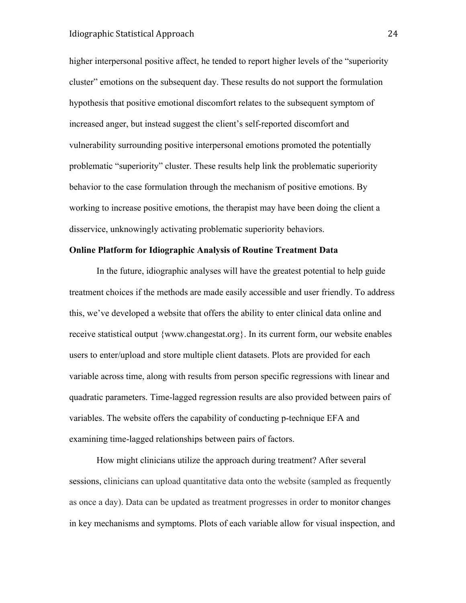higher interpersonal positive affect, he tended to report higher levels of the "superiority cluster" emotions on the subsequent day. These results do not support the formulation hypothesis that positive emotional discomfort relates to the subsequent symptom of increased anger, but instead suggest the client's self-reported discomfort and vulnerability surrounding positive interpersonal emotions promoted the potentially problematic "superiority" cluster. These results help link the problematic superiority behavior to the case formulation through the mechanism of positive emotions. By working to increase positive emotions, the therapist may have been doing the client a disservice, unknowingly activating problematic superiority behaviors.

## **Online Platform for Idiographic Analysis of Routine Treatment Data**

In the future, idiographic analyses will have the greatest potential to help guide treatment choices if the methods are made easily accessible and user friendly. To address this, we've developed a website that offers the ability to enter clinical data online and receive statistical output {www.changestat.org}. In its current form, our website enables users to enter/upload and store multiple client datasets. Plots are provided for each variable across time, along with results from person specific regressions with linear and quadratic parameters. Time-lagged regression results are also provided between pairs of variables. The website offers the capability of conducting p-technique EFA and examining time-lagged relationships between pairs of factors.

How might clinicians utilize the approach during treatment? After several sessions, clinicians can upload quantitative data onto the website (sampled as frequently as once a day). Data can be updated as treatment progresses in order to monitor changes in key mechanisms and symptoms. Plots of each variable allow for visual inspection, and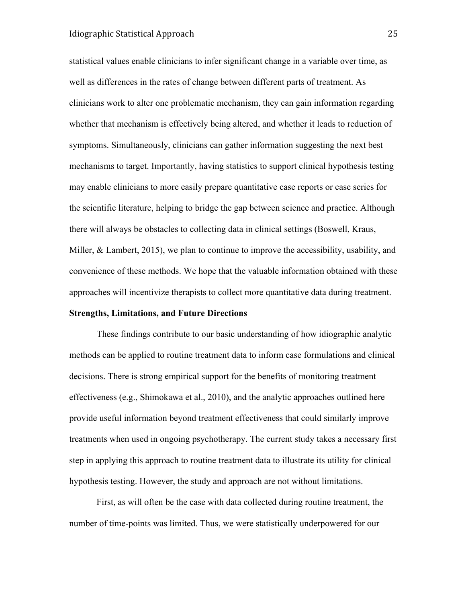# Idiographic Statistical Approach 25

statistical values enable clinicians to infer significant change in a variable over time, as well as differences in the rates of change between different parts of treatment. As clinicians work to alter one problematic mechanism, they can gain information regarding whether that mechanism is effectively being altered, and whether it leads to reduction of symptoms. Simultaneously, clinicians can gather information suggesting the next best mechanisms to target. Importantly, having statistics to support clinical hypothesis testing may enable clinicians to more easily prepare quantitative case reports or case series for the scientific literature, helping to bridge the gap between science and practice. Although there will always be obstacles to collecting data in clinical settings (Boswell, Kraus, Miller, & Lambert, 2015), we plan to continue to improve the accessibility, usability, and convenience of these methods. We hope that the valuable information obtained with these approaches will incentivize therapists to collect more quantitative data during treatment.

# **Strengths, Limitations, and Future Directions**

These findings contribute to our basic understanding of how idiographic analytic methods can be applied to routine treatment data to inform case formulations and clinical decisions. There is strong empirical support for the benefits of monitoring treatment effectiveness (e.g., Shimokawa et al., 2010), and the analytic approaches outlined here provide useful information beyond treatment effectiveness that could similarly improve treatments when used in ongoing psychotherapy. The current study takes a necessary first step in applying this approach to routine treatment data to illustrate its utility for clinical hypothesis testing. However, the study and approach are not without limitations.

First, as will often be the case with data collected during routine treatment, the number of time-points was limited. Thus, we were statistically underpowered for our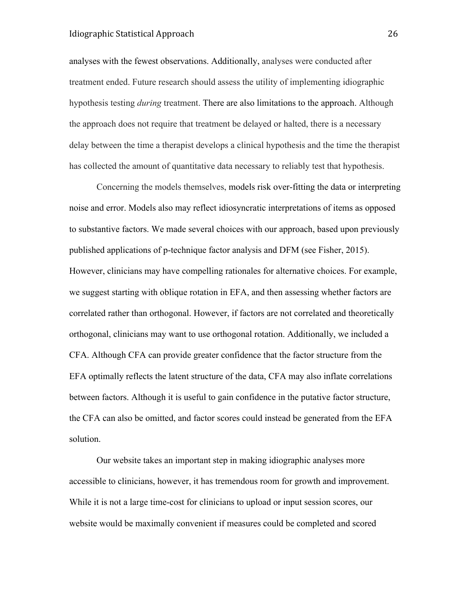# Idiographic Statistical Approach 26

analyses with the fewest observations. Additionally, analyses were conducted after treatment ended. Future research should assess the utility of implementing idiographic hypothesis testing *during* treatment. There are also limitations to the approach. Although the approach does not require that treatment be delayed or halted, there is a necessary delay between the time a therapist develops a clinical hypothesis and the time the therapist has collected the amount of quantitative data necessary to reliably test that hypothesis.

Concerning the models themselves, models risk over-fitting the data or interpreting noise and error. Models also may reflect idiosyncratic interpretations of items as opposed to substantive factors. We made several choices with our approach, based upon previously published applications of p-technique factor analysis and DFM (see Fisher, 2015). However, clinicians may have compelling rationales for alternative choices. For example, we suggest starting with oblique rotation in EFA, and then assessing whether factors are correlated rather than orthogonal. However, if factors are not correlated and theoretically orthogonal, clinicians may want to use orthogonal rotation. Additionally, we included a CFA. Although CFA can provide greater confidence that the factor structure from the EFA optimally reflects the latent structure of the data, CFA may also inflate correlations between factors. Although it is useful to gain confidence in the putative factor structure, the CFA can also be omitted, and factor scores could instead be generated from the EFA solution.

Our website takes an important step in making idiographic analyses more accessible to clinicians, however, it has tremendous room for growth and improvement. While it is not a large time-cost for clinicians to upload or input session scores, our website would be maximally convenient if measures could be completed and scored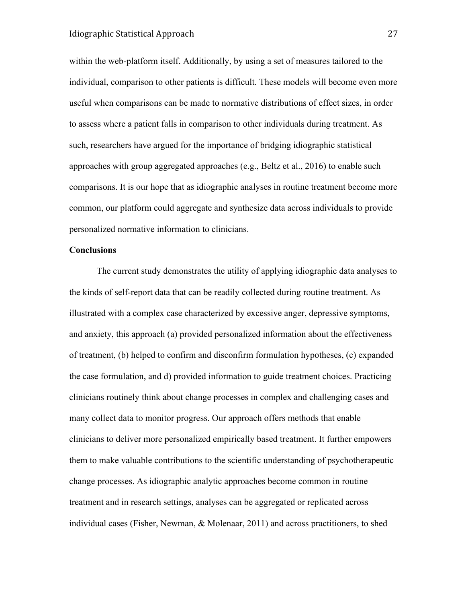within the web-platform itself. Additionally, by using a set of measures tailored to the individual, comparison to other patients is difficult. These models will become even more useful when comparisons can be made to normative distributions of effect sizes, in order to assess where a patient falls in comparison to other individuals during treatment. As such, researchers have argued for the importance of bridging idiographic statistical approaches with group aggregated approaches (e.g., Beltz et al., 2016) to enable such comparisons. It is our hope that as idiographic analyses in routine treatment become more common, our platform could aggregate and synthesize data across individuals to provide personalized normative information to clinicians.

### **Conclusions**

The current study demonstrates the utility of applying idiographic data analyses to the kinds of self-report data that can be readily collected during routine treatment. As illustrated with a complex case characterized by excessive anger, depressive symptoms, and anxiety, this approach (a) provided personalized information about the effectiveness of treatment, (b) helped to confirm and disconfirm formulation hypotheses, (c) expanded the case formulation, and d) provided information to guide treatment choices. Practicing clinicians routinely think about change processes in complex and challenging cases and many collect data to monitor progress. Our approach offers methods that enable clinicians to deliver more personalized empirically based treatment. It further empowers them to make valuable contributions to the scientific understanding of psychotherapeutic change processes. As idiographic analytic approaches become common in routine treatment and in research settings, analyses can be aggregated or replicated across individual cases (Fisher, Newman, & Molenaar, 2011) and across practitioners, to shed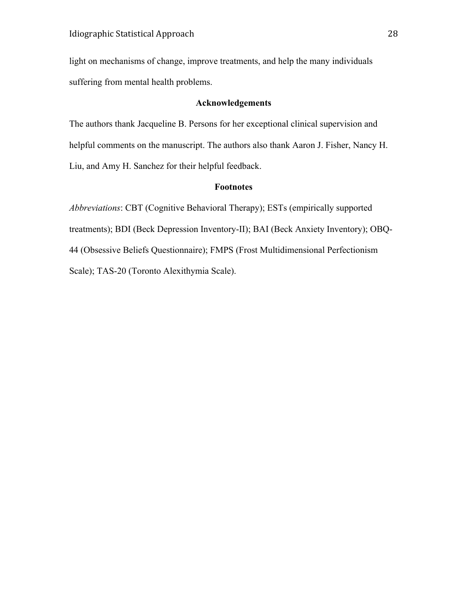light on mechanisms of change, improve treatments, and help the many individuals suffering from mental health problems.

# **Acknowledgements**

The authors thank Jacqueline B. Persons for her exceptional clinical supervision and helpful comments on the manuscript. The authors also thank Aaron J. Fisher, Nancy H. Liu, and Amy H. Sanchez for their helpful feedback.

#### **Footnotes**

*Abbreviations*: CBT (Cognitive Behavioral Therapy); ESTs (empirically supported treatments); BDI (Beck Depression Inventory-II); BAI (Beck Anxiety Inventory); OBQ-44 (Obsessive Beliefs Questionnaire); FMPS (Frost Multidimensional Perfectionism Scale); TAS-20 (Toronto Alexithymia Scale).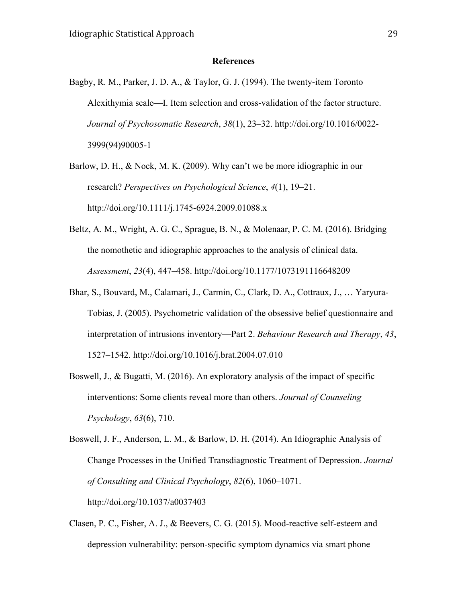#### **References**

Bagby, R. M., Parker, J. D. A., & Taylor, G. J. (1994). The twenty-item Toronto Alexithymia scale—I. Item selection and cross-validation of the factor structure. *Journal of Psychosomatic Research*, *38*(1), 23–32. http://doi.org/10.1016/0022- 3999(94)90005-1

Barlow, D. H., & Nock, M. K. (2009). Why can't we be more idiographic in our research? *Perspectives on Psychological Science*, *4*(1), 19–21. http://doi.org/10.1111/j.1745-6924.2009.01088.x

- Beltz, A. M., Wright, A. G. C., Sprague, B. N., & Molenaar, P. C. M. (2016). Bridging the nomothetic and idiographic approaches to the analysis of clinical data. *Assessment*, *23*(4), 447–458. http://doi.org/10.1177/1073191116648209
- Bhar, S., Bouvard, M., Calamari, J., Carmin, C., Clark, D. A., Cottraux, J., … Yaryura-Tobias, J. (2005). Psychometric validation of the obsessive belief questionnaire and interpretation of intrusions inventory—Part 2. *Behaviour Research and Therapy*, *43*, 1527–1542. http://doi.org/10.1016/j.brat.2004.07.010
- Boswell, J., & Bugatti, M. (2016). An exploratory analysis of the impact of specific interventions: Some clients reveal more than others. *Journal of Counseling Psychology*, *63*(6), 710.

Boswell, J. F., Anderson, L. M., & Barlow, D. H. (2014). An Idiographic Analysis of Change Processes in the Unified Transdiagnostic Treatment of Depression. *Journal of Consulting and Clinical Psychology*, *82*(6), 1060–1071. http://doi.org/10.1037/a0037403

Clasen, P. C., Fisher, A. J., & Beevers, C. G. (2015). Mood-reactive self-esteem and depression vulnerability: person-specific symptom dynamics via smart phone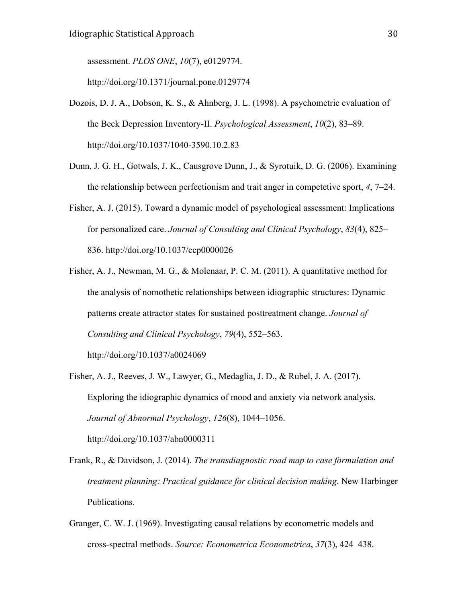assessment. *PLOS ONE*, *10*(7), e0129774.

http://doi.org/10.1371/journal.pone.0129774

- Dozois, D. J. A., Dobson, K. S., & Ahnberg, J. L. (1998). A psychometric evaluation of the Beck Depression Inventory-II. *Psychological Assessment*, *10*(2), 83–89. http://doi.org/10.1037/1040-3590.10.2.83
- Dunn, J. G. H., Gotwals, J. K., Causgrove Dunn, J., & Syrotuik, D. G. (2006). Examining the relationship between perfectionism and trait anger in competetive sport, *4*, 7–24.
- Fisher, A. J. (2015). Toward a dynamic model of psychological assessment: Implications for personalized care. *Journal of Consulting and Clinical Psychology*, *83*(4), 825– 836. http://doi.org/10.1037/ccp0000026
- Fisher, A. J., Newman, M. G., & Molenaar, P. C. M. (2011). A quantitative method for the analysis of nomothetic relationships between idiographic structures: Dynamic patterns create attractor states for sustained posttreatment change. *Journal of Consulting and Clinical Psychology*, *79*(4), 552–563.

http://doi.org/10.1037/a0024069

- Fisher, A. J., Reeves, J. W., Lawyer, G., Medaglia, J. D., & Rubel, J. A. (2017). Exploring the idiographic dynamics of mood and anxiety via network analysis. *Journal of Abnormal Psychology*, *126*(8), 1044–1056. http://doi.org/10.1037/abn0000311
- Frank, R., & Davidson, J. (2014). *The transdiagnostic road map to case formulation and treatment planning: Practical guidance for clinical decision making*. New Harbinger Publications.
- Granger, C. W. J. (1969). Investigating causal relations by econometric models and cross-spectral methods. *Source: Econometrica Econometrica*, *37*(3), 424–438.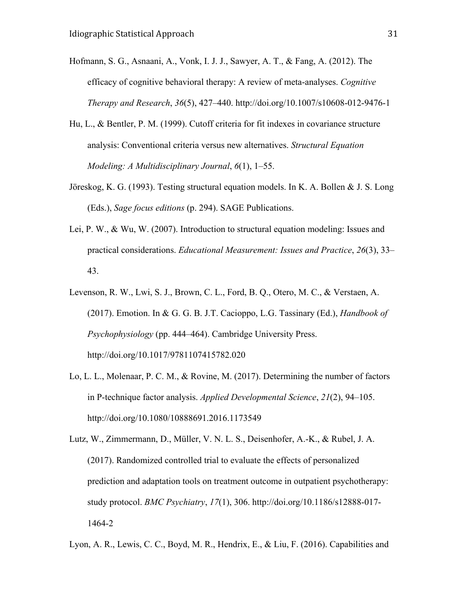- Hofmann, S. G., Asnaani, A., Vonk, I. J. J., Sawyer, A. T., & Fang, A. (2012). The efficacy of cognitive behavioral therapy: A review of meta-analyses. *Cognitive Therapy and Research*, *36*(5), 427–440. http://doi.org/10.1007/s10608-012-9476-1
- Hu, L., & Bentler, P. M. (1999). Cutoff criteria for fit indexes in covariance structure analysis: Conventional criteria versus new alternatives. *Structural Equation Modeling: A Multidisciplinary Journal*, *6*(1), 1–55.
- Jöreskog, K. G. (1993). Testing structural equation models. In K. A. Bollen & J. S. Long (Eds.), *Sage focus editions* (p. 294). SAGE Publications.
- Lei, P. W., & Wu, W. (2007). Introduction to structural equation modeling: Issues and practical considerations. *Educational Measurement: Issues and Practice*, *26*(3), 33– 43.
- Levenson, R. W., Lwi, S. J., Brown, C. L., Ford, B. Q., Otero, M. C., & Verstaen, A. (2017). Emotion. In & G. G. B. J.T. Cacioppo, L.G. Tassinary (Ed.), *Handbook of Psychophysiology* (pp. 444–464). Cambridge University Press. http://doi.org/10.1017/9781107415782.020
- Lo, L. L., Molenaar, P. C. M., & Rovine, M. (2017). Determining the number of factors in P-technique factor analysis. *Applied Developmental Science*, *21*(2), 94–105. http://doi.org/10.1080/10888691.2016.1173549
- Lutz, W., Zimmermann, D., Müller, V. N. L. S., Deisenhofer, A.-K., & Rubel, J. A. (2017). Randomized controlled trial to evaluate the effects of personalized prediction and adaptation tools on treatment outcome in outpatient psychotherapy: study protocol. *BMC Psychiatry*, *17*(1), 306. http://doi.org/10.1186/s12888-017- 1464-2
- Lyon, A. R., Lewis, C. C., Boyd, M. R., Hendrix, E., & Liu, F. (2016). Capabilities and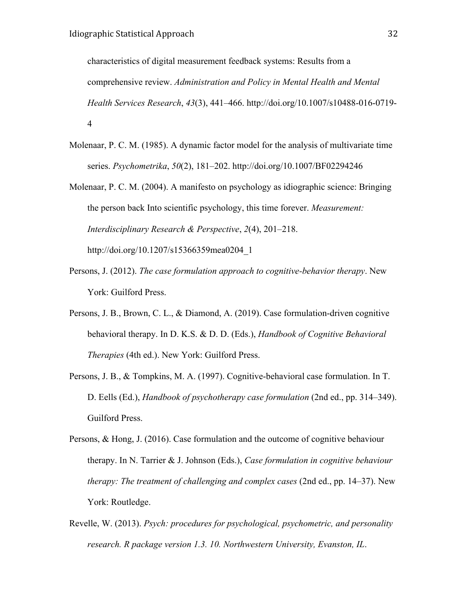characteristics of digital measurement feedback systems: Results from a comprehensive review. *Administration and Policy in Mental Health and Mental Health Services Research*, *43*(3), 441–466. http://doi.org/10.1007/s10488-016-0719- 4

- Molenaar, P. C. M. (1985). A dynamic factor model for the analysis of multivariate time series. *Psychometrika*, *50*(2), 181–202. http://doi.org/10.1007/BF02294246
- Molenaar, P. C. M. (2004). A manifesto on psychology as idiographic science: Bringing the person back Into scientific psychology, this time forever. *Measurement: Interdisciplinary Research & Perspective*, *2*(4), 201–218. http://doi.org/10.1207/s15366359mea0204\_1
- Persons, J. (2012). *The case formulation approach to cognitive-behavior therapy*. New York: Guilford Press.
- Persons, J. B., Brown, C. L., & Diamond, A. (2019). Case formulation-driven cognitive behavioral therapy. In D. K.S. & D. D. (Eds.), *Handbook of Cognitive Behavioral Therapies* (4th ed.). New York: Guilford Press.
- Persons, J. B., & Tompkins, M. A. (1997). Cognitive-behavioral case formulation. In T. D. Eells (Ed.), *Handbook of psychotherapy case formulation* (2nd ed., pp. 314–349). Guilford Press.
- Persons, & Hong, J. (2016). Case formulation and the outcome of cognitive behaviour therapy. In N. Tarrier & J. Johnson (Eds.), *Case formulation in cognitive behaviour therapy: The treatment of challenging and complex cases* (2nd ed., pp. 14–37). New York: Routledge.
- Revelle, W. (2013). *Psych: procedures for psychological, psychometric, and personality research. R package version 1.3. 10. Northwestern University, Evanston, IL*.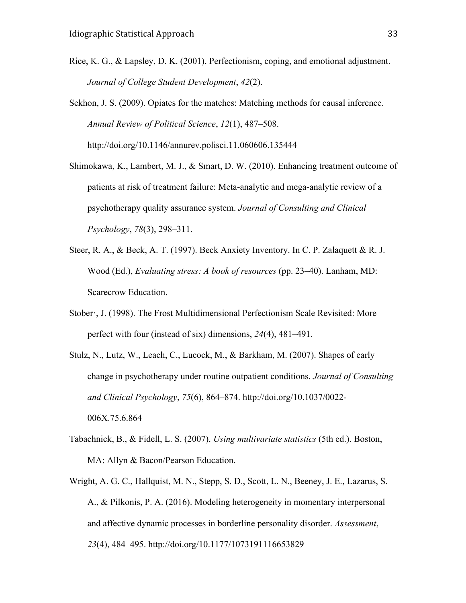Rice, K. G., & Lapsley, D. K. (2001). Perfectionism, coping, and emotional adjustment. *Journal of College Student Development*, *42*(2).

Sekhon, J. S. (2009). Opiates for the matches: Matching methods for causal inference. *Annual Review of Political Science*, *12*(1), 487–508. http://doi.org/10.1146/annurev.polisci.11.060606.135444

Shimokawa, K., Lambert, M. J., & Smart, D. W. (2010). Enhancing treatment outcome of patients at risk of treatment failure: Meta-analytic and mega-analytic review of a psychotherapy quality assurance system. *Journal of Consulting and Clinical Psychology*, *78*(3), 298–311.

- Steer, R. A., & Beck, A. T. (1997). Beck Anxiety Inventory. In C. P. Zalaquett & R. J. Wood (Ed.), *Evaluating stress: A book of resources* (pp. 23–40). Lanham, MD: Scarecrow Education.
- Stober·, J. (1998). The Frost Multidimensional Perfectionism Scale Revisited: More perfect with four (instead of six) dimensions, *24*(4), 481–491.
- Stulz, N., Lutz, W., Leach, C., Lucock, M., & Barkham, M. (2007). Shapes of early change in psychotherapy under routine outpatient conditions. *Journal of Consulting and Clinical Psychology*, *75*(6), 864–874. http://doi.org/10.1037/0022- 006X.75.6.864
- Tabachnick, B., & Fidell, L. S. (2007). *Using multivariate statistics* (5th ed.). Boston, MA: Allyn & Bacon/Pearson Education.
- Wright, A. G. C., Hallquist, M. N., Stepp, S. D., Scott, L. N., Beeney, J. E., Lazarus, S. A., & Pilkonis, P. A. (2016). Modeling heterogeneity in momentary interpersonal and affective dynamic processes in borderline personality disorder. *Assessment*, *23*(4), 484–495. http://doi.org/10.1177/1073191116653829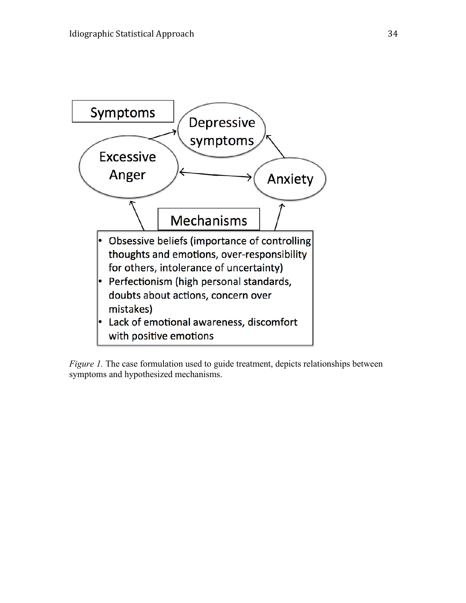

*Figure 1*. The case formulation used to guide treatment, depicts relationships between symptoms and hypothesized mechanisms.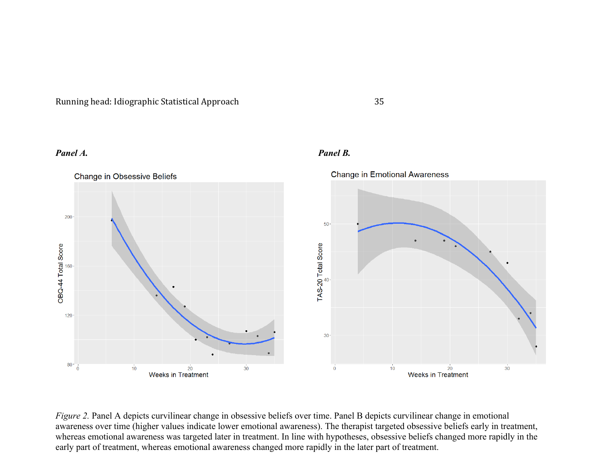Running head: Idiographic Statistical Approach 35

### *Panel A. Panel B.*



*Figure 2.* Panel A depicts curvilinear change in obsessive beliefs over time. Panel B depicts curvilinear change in emotional awareness over time (higher values indicate lower emotional awareness). The therapist targeted obsessive beliefs early in treatment, whereas emotional awareness was targeted later in treatment. In line with hypotheses, obsessive beliefs changed more rapidly in the early part of treatment, whereas emotional awareness changed more rapidly in the later part of treatment.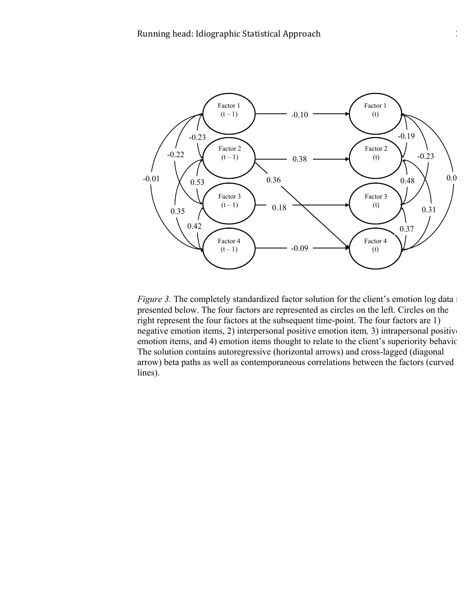

*Figure 3.* The completely standardized factor solution for the client's emotion log data is presented below. The four factors are represented as circles on the left. Circles on the right represent the four factors at the subsequent time-point. The four factors are 1) negative emotion items, 2) interpersonal positive emotion item*,* 3) intrapersonal positive emotion items, and 4) emotion items thought to relate to the client's superiority behavior. The solution contains autoregressive (horizontal arrows) and cross-lagged (diagonal arrow) beta paths as well as contemporaneous correlations between the factors (curved lines).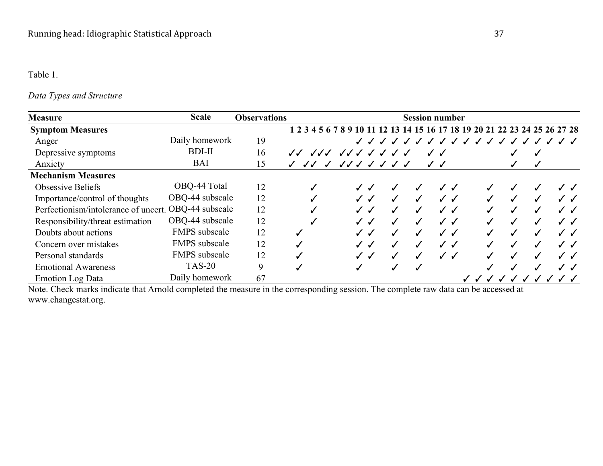# Table 1.

# *Data Types and Structure*

| <b>Measure</b>                                       | <b>Scale</b>         | <b>Observations</b> |                                           |             |                          |                                  | <b>Session number</b>    |   |                                                                            |              |
|------------------------------------------------------|----------------------|---------------------|-------------------------------------------|-------------|--------------------------|----------------------------------|--------------------------|---|----------------------------------------------------------------------------|--------------|
| <b>Symptom Measures</b>                              |                      |                     |                                           |             |                          |                                  |                          |   | 1 2 3 4 5 6 7 8 9 10 11 12 13 14 15 16 17 18 19 20 21 22 23 24 25 26 27 28 |              |
| Anger                                                | Daily homework       | 19                  |                                           |             |                          | $\checkmark$<br>$\boldsymbol{J}$ | J J J J J J J J J J      |   |                                                                            |              |
| Depressive symptoms                                  | <b>BDI-II</b>        | 16                  | JJJ                                       | JJJJJ       |                          |                                  |                          |   |                                                                            |              |
| Anxiety                                              | <b>BAI</b>           | 15                  | $\checkmark$ $\checkmark$<br>$\checkmark$ | JJJ J J J J |                          |                                  |                          |   |                                                                            |              |
| <b>Mechanism Measures</b>                            |                      |                     |                                           |             |                          |                                  |                          |   |                                                                            |              |
| <b>Obsessive Beliefs</b>                             | OBQ-44 Total         | 12                  |                                           |             |                          |                                  | $\overline{\mathcal{L}}$ |   |                                                                            |              |
| Importance/control of thoughts                       | OBQ-44 subscale      | 12                  |                                           |             |                          |                                  | J J                      |   |                                                                            | J J          |
| Perfectionism/intolerance of uncert. OBQ-44 subscale |                      | 12                  |                                           |             | ✓                        |                                  | $\cal J$ $\cal J$        |   |                                                                            |              |
| Responsibility/threat estimation                     | OBQ-44 subscale      | 12                  |                                           |             | J                        |                                  | $\cal J$ $\cal J$        | ✓ |                                                                            | $J\,$ $J$    |
| Doubts about actions                                 | <b>FMPS</b> subscale | 12                  |                                           |             |                          |                                  | $\cal J$ $\cal J$        |   |                                                                            | $\checkmark$ |
| Concern over mistakes                                | <b>FMPS</b> subscale | 12                  | ✓                                         |             | $\overline{\mathcal{L}}$ | $\boldsymbol{J}$                 | ✓✓                       |   |                                                                            | $J\,$ $J$    |
| Personal standards                                   | <b>FMPS</b> subscale | 12                  |                                           |             |                          |                                  | $\cal J$ $\cal J$        |   |                                                                            | $J\,$ $J\,$  |
| <b>Emotional Awareness</b>                           | <b>TAS-20</b>        | 9                   |                                           |             |                          |                                  |                          |   |                                                                            | J J          |
| <b>Emotion Log Data</b>                              | Daily homework       | 67                  |                                           |             |                          |                                  |                          |   |                                                                            |              |

Note. Check marks indicate that Arnold completed the measure in the corresponding session. The complete raw data can be accessed at www.changestat.org.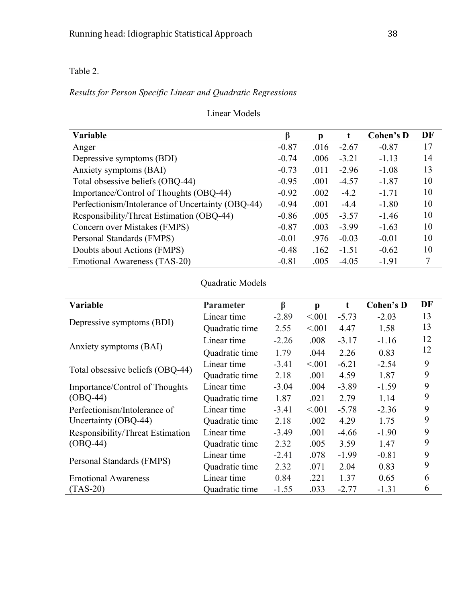Table 2.

# *Results for Person Specific Linear and Quadratic Regressions*

# Linear Models

| <b>Variable</b>                                   | ß       | D    |         | Cohen's D | DF |
|---------------------------------------------------|---------|------|---------|-----------|----|
| Anger                                             | $-0.87$ | .016 | $-2.67$ | $-0.87$   | 17 |
| Depressive symptoms (BDI)                         | $-0.74$ | .006 | $-3.21$ | $-1.13$   | 14 |
| Anxiety symptoms (BAI)                            | $-0.73$ | .011 | $-2.96$ | $-1.08$   | 13 |
| Total obsessive beliefs (OBQ-44)                  | $-0.95$ | .001 | $-4.57$ | $-1.87$   | 10 |
| Importance/Control of Thoughts (OBQ-44)           | $-0.92$ | .002 | $-4.2$  | $-1.71$   | 10 |
| Perfectionism/Intolerance of Uncertainty (OBQ-44) | $-0.94$ | .001 | $-4.4$  | $-1.80$   | 10 |
| Responsibility/Threat Estimation (OBQ-44)         | $-0.86$ | .005 | $-3.57$ | $-1.46$   | 10 |
| Concern over Mistakes (FMPS)                      | $-0.87$ | .003 | $-3.99$ | $-1.63$   | 10 |
| Personal Standards (FMPS)                         | $-0.01$ | .976 | $-0.03$ | $-0.01$   | 10 |
| Doubts about Actions (FMPS)                       | $-0.48$ | .162 | $-1.51$ | $-0.62$   | 10 |
| Emotional Awareness (TAS-20)                      | $-0.81$ | .005 | $-4.05$ | $-1.91$   | 7  |

# Quadratic Models

| Variable                         | <b>Parameter</b> | ß       | p      | $\mathbf t$ | <b>Cohen's D</b> | DF |
|----------------------------------|------------------|---------|--------|-------------|------------------|----|
|                                  | Linear time      | $-2.89$ | < 0.01 | $-5.73$     | $-2.03$          | 13 |
| Depressive symptoms (BDI)        | Quadratic time   | 2.55    | < 0.01 | 4.47        | 1.58             | 13 |
|                                  | Linear time      | $-2.26$ | .008   | $-3.17$     | $-1.16$          | 12 |
| Anxiety symptoms (BAI)           | Quadratic time   | 1.79    | .044   | 2.26        | 0.83             | 12 |
|                                  | Linear time      | $-3.41$ | < 001  | $-6.21$     | $-2.54$          | 9  |
| Total obsessive beliefs (OBQ-44) | Quadratic time   | 2.18    | .001   | 4.59        | 1.87             | 9  |
| Importance/Control of Thoughts   | Linear time      | $-3.04$ | .004   | $-3.89$     | $-1.59$          | 9  |
| $(OBQ-44)$                       | Quadratic time   | 1.87    | .021   | 2.79        | 1.14             | 9  |
| Perfectionism/Intolerance of     | Linear time      | $-3.41$ | < 0.01 | $-5.78$     | $-2.36$          | 9  |
| Uncertainty (OBQ-44)             | Quadratic time   | 2.18    | .002   | 4.29        | 1.75             | 9  |
| Responsibility/Threat Estimation | Linear time      | $-3.49$ | .001   | $-4.66$     | $-1.90$          | 9  |
| $(OBQ-44)$                       | Quadratic time   | 2.32    | .005   | 3.59        | 1.47             | 9  |
|                                  | Linear time      | $-2.41$ | .078   | $-1.99$     | $-0.81$          | 9  |
| Personal Standards (FMPS)        | Quadratic time   | 2.32    | .071   | 2.04        | 0.83             | 9  |
| <b>Emotional Awareness</b>       | Linear time      | 0.84    | .221   | 1.37        | 0.65             | 6  |
| $(TAS-20)$                       | Quadratic time   | $-1.55$ | .033   | $-2.77$     | $-1.31$          | 6  |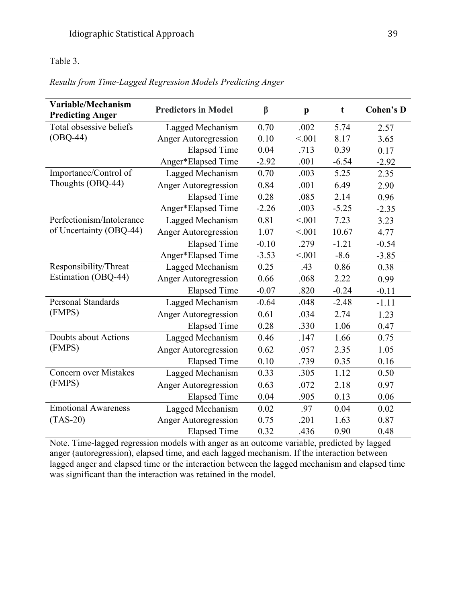# Table 3.

# *Results from Time-Lagged Regression Models Predicting Anger*

| Variable/Mechanism<br><b>Predicting Anger</b> | <b>Predictors in Model</b> | $\beta$ | $\mathbf{p}$ | t       | <b>Cohen's D</b> |
|-----------------------------------------------|----------------------------|---------|--------------|---------|------------------|
| Total obsessive beliefs                       | Lagged Mechanism           | 0.70    | .002         | 5.74    | 2.57             |
| $(OBQ-44)$                                    | Anger Autoregression       | 0.10    | < 001        | 8.17    | 3.65             |
|                                               | <b>Elapsed Time</b>        | 0.04    | .713         | 0.39    | 0.17             |
|                                               | Anger*Elapsed Time         | $-2.92$ | .001         | $-6.54$ | $-2.92$          |
| Importance/Control of                         | Lagged Mechanism           | 0.70    | .003         | 5.25    | 2.35             |
| Thoughts (OBQ-44)                             | Anger Autoregression       | 0.84    | .001         | 6.49    | 2.90             |
|                                               | <b>Elapsed Time</b>        | 0.28    | .085         | 2.14    | 0.96             |
|                                               | Anger*Elapsed Time         | $-2.26$ | .003         | $-5.25$ | $-2.35$          |
| Perfectionism/Intolerance                     | Lagged Mechanism           | 0.81    | < 0.01       | 7.23    | 3.23             |
| of Uncertainty (OBQ-44)                       | Anger Autoregression       | 1.07    | < 0.01       | 10.67   | 4.77             |
|                                               | <b>Elapsed Time</b>        | $-0.10$ | .279         | $-1.21$ | $-0.54$          |
|                                               | Anger*Elapsed Time         | $-3.53$ | < 001        | $-8.6$  | $-3.85$          |
| Responsibility/Threat                         | Lagged Mechanism           | 0.25    | .43          | 0.86    | 0.38             |
| Estimation (OBQ-44)                           | Anger Autoregression       | 0.66    | .068         | 2.22    | 0.99             |
|                                               | <b>Elapsed Time</b>        | $-0.07$ | .820         | $-0.24$ | $-0.11$          |
| <b>Personal Standards</b>                     | Lagged Mechanism           | $-0.64$ | .048         | $-2.48$ | $-1.11$          |
| (FMPS)                                        | Anger Autoregression       | 0.61    | .034         | 2.74    | 1.23             |
|                                               | <b>Elapsed Time</b>        | 0.28    | .330         | 1.06    | 0.47             |
| Doubts about Actions                          | Lagged Mechanism           | 0.46    | .147         | 1.66    | 0.75             |
| (FMPS)                                        | Anger Autoregression       | 0.62    | .057         | 2.35    | 1.05             |
|                                               | <b>Elapsed Time</b>        | 0.10    | .739         | 0.35    | 0.16             |
| Concern over Mistakes                         | Lagged Mechanism           | 0.33    | .305         | 1.12    | 0.50             |
| (FMPS)                                        | Anger Autoregression       | 0.63    | .072         | 2.18    | 0.97             |
|                                               | <b>Elapsed Time</b>        | 0.04    | .905         | 0.13    | 0.06             |
| <b>Emotional Awareness</b>                    | Lagged Mechanism           | 0.02    | .97          | 0.04    | 0.02             |
| $(TAS-20)$                                    | Anger Autoregression       | 0.75    | .201         | 1.63    | 0.87             |
|                                               | <b>Elapsed Time</b>        | 0.32    | .436         | 0.90    | 0.48             |

Note. Time-lagged regression models with anger as an outcome variable, predicted by lagged anger (autoregression), elapsed time, and each lagged mechanism. If the interaction between lagged anger and elapsed time or the interaction between the lagged mechanism and elapsed time was significant than the interaction was retained in the model.